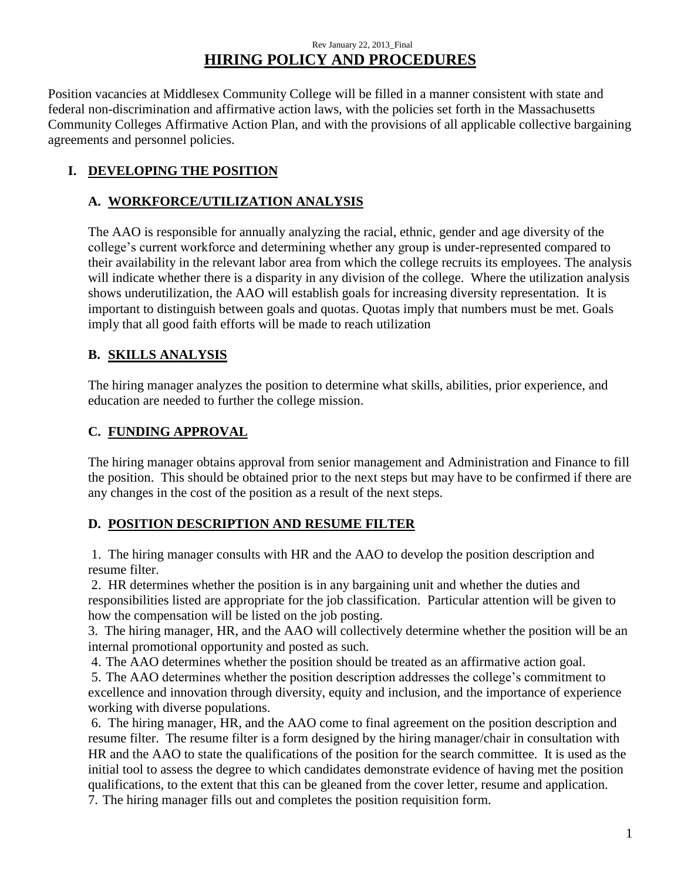#### Rev January 22, 2013\_Final **HIRING POLICY AND PROCEDURES**

Position vacancies at Middlesex Community College will be filled in a manner consistent with state and federal non-discrimination and affirmative action laws, with the policies set forth in the Massachusetts Community Colleges Affirmative Action Plan, and with the provisions of all applicable collective bargaining agreements and personnel policies.

# **I. DEVELOPING THE POSITION**

## **A. WORKFORCE/UTILIZATION ANALYSIS**

The AAO is responsible for annually analyzing the racial, ethnic, gender and age diversity of the college's current workforce and determining whether any group is under-represented compared to their availability in the relevant labor area from which the college recruits its employees. The analysis will indicate whether there is a disparity in any division of the college. Where the utilization analysis shows underutilization, the AAO will establish goals for increasing diversity representation. It is important to distinguish between goals and quotas. Quotas imply that numbers must be met. Goals imply that all good faith efforts will be made to reach utilization

## **B. SKILLS ANALYSIS**

The hiring manager analyzes the position to determine what skills, abilities, prior experience, and education are needed to further the college mission.

## **C. FUNDING APPROVAL**

The hiring manager obtains approval from senior management and Administration and Finance to fill the position. This should be obtained prior to the next steps but may have to be confirmed if there are any changes in the cost of the position as a result of the next steps.

# **D. POSITION DESCRIPTION AND RESUME FILTER**

1. The hiring manager consults with HR and the AAO to develop the position description and resume filter.

2.HR determines whether the position is in any bargaining unit and whether the duties and responsibilities listed are appropriate for the job classification. Particular attention will be given to how the compensation will be listed on the job posting.

3. The hiring manager, HR, and the AAO will collectively determine whether the position will be an internal promotional opportunity and posted as such.

4. The AAO determines whether the position should be treated as an affirmative action goal.

5. The AAO determines whether the position description addresses the college's commitment to excellence and innovation through diversity, equity and inclusion, and the importance of experience working with diverse populations.

6. The hiring manager, HR, and the AAO come to final agreement on the position description and resume filter. The resume filter is a form designed by the hiring manager/chair in consultation with HR and the AAO to state the qualifications of the position for the search committee. It is used as the initial tool to assess the degree to which candidates demonstrate evidence of having met the position qualifications, to the extent that this can be gleaned from the cover letter, resume and application.

7. The hiring manager fills out and completes the position requisition form.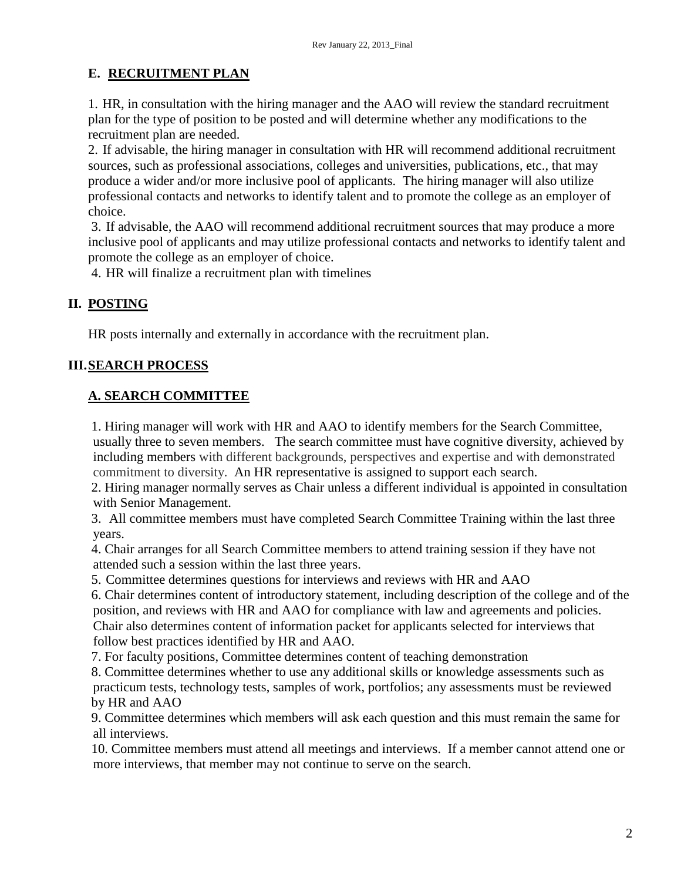#### **E. RECRUITMENT PLAN**

1. HR, in consultation with the hiring manager and the AAO will review the standard recruitment plan for the type of position to be posted and will determine whether any modifications to the recruitment plan are needed.

2. If advisable, the hiring manager in consultation with HR will recommend additional recruitment sources, such as professional associations, colleges and universities, publications, etc., that may produce a wider and/or more inclusive pool of applicants. The hiring manager will also utilize professional contacts and networks to identify talent and to promote the college as an employer of choice.

3. If advisable, the AAO will recommend additional recruitment sources that may produce a more inclusive pool of applicants and may utilize professional contacts and networks to identify talent and promote the college as an employer of choice.

4. HR will finalize a recruitment plan with timelines

#### **II. POSTING**

HR posts internally and externally in accordance with the recruitment plan.

#### **III.SEARCH PROCESS**

#### **A. SEARCH COMMITTEE**

1. Hiring manager will work with HR and AAO to identify members for the Search Committee, usually three to seven members. The search committee must have cognitive diversity, achieved by including members with different backgrounds, perspectives and expertise and with demonstrated commitment to diversity. An HR representative is assigned to support each search.

2. Hiring manager normally serves as Chair unless a different individual is appointed in consultation with Senior Management.

3. All committee members must have completed Search Committee Training within the last three years.

4. Chair arranges for all Search Committee members to attend training session if they have not attended such a session within the last three years.

5. Committee determines questions for interviews and reviews with HR and AAO

6. Chair determines content of introductory statement, including description of the college and of the position, and reviews with HR and AAO for compliance with law and agreements and policies. Chair also determines content of information packet for applicants selected for interviews that follow best practices identified by HR and AAO.

7. For faculty positions, Committee determines content of teaching demonstration

8. Committee determines whether to use any additional skills or knowledge assessments such as practicum tests, technology tests, samples of work, portfolios; any assessments must be reviewed by HR and AAO

9. Committee determines which members will ask each question and this must remain the same for all interviews.

10. Committee members must attend all meetings and interviews. If a member cannot attend one or more interviews, that member may not continue to serve on the search.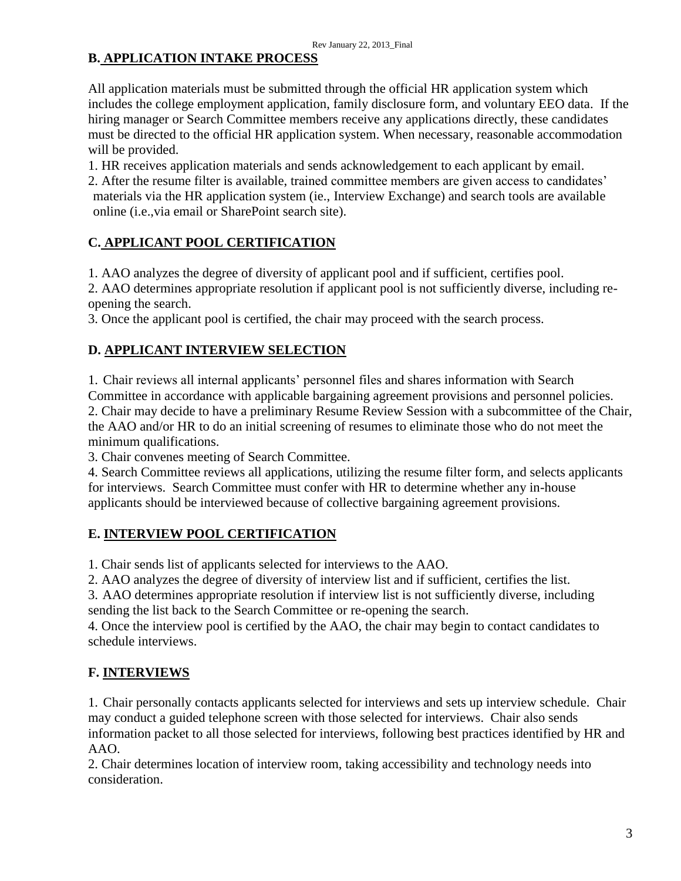# **B. APPLICATION INTAKE PROCESS**

All application materials must be submitted through the official HR application system which includes the college employment application, family disclosure form, and voluntary EEO data. If the hiring manager or Search Committee members receive any applications directly, these candidates must be directed to the official HR application system. When necessary, reasonable accommodation will be provided.

1. HR receives application materials and sends acknowledgement to each applicant by email.

2. After the resume filter is available, trained committee members are given access to candidates' materials via the HR application system (ie., Interview Exchange) and search tools are available online (i.e.,via email or SharePoint search site).

## **C. APPLICANT POOL CERTIFICATION**

1. AAO analyzes the degree of diversity of applicant pool and if sufficient, certifies pool.

2. AAO determines appropriate resolution if applicant pool is not sufficiently diverse, including reopening the search.

3. Once the applicant pool is certified, the chair may proceed with the search process.

## **D. APPLICANT INTERVIEW SELECTION**

1. Chair reviews all internal applicants' personnel files and shares information with Search Committee in accordance with applicable bargaining agreement provisions and personnel policies. 2. Chair may decide to have a preliminary Resume Review Session with a subcommittee of the Chair, the AAO and/or HR to do an initial screening of resumes to eliminate those who do not meet the minimum qualifications.

3. Chair convenes meeting of Search Committee.

4. Search Committee reviews all applications, utilizing the resume filter form, and selects applicants for interviews. Search Committee must confer with HR to determine whether any in-house applicants should be interviewed because of collective bargaining agreement provisions.

#### **E. INTERVIEW POOL CERTIFICATION**

1. Chair sends list of applicants selected for interviews to the AAO.

2. AAO analyzes the degree of diversity of interview list and if sufficient, certifies the list.

3. AAO determines appropriate resolution if interview list is not sufficiently diverse, including sending the list back to the Search Committee or re-opening the search.

4. Once the interview pool is certified by the AAO, the chair may begin to contact candidates to schedule interviews.

## **F. INTERVIEWS**

1. Chair personally contacts applicants selected for interviews and sets up interview schedule. Chair may conduct a guided telephone screen with those selected for interviews. Chair also sends information packet to all those selected for interviews, following best practices identified by HR and AAO.

2. Chair determines location of interview room, taking accessibility and technology needs into consideration.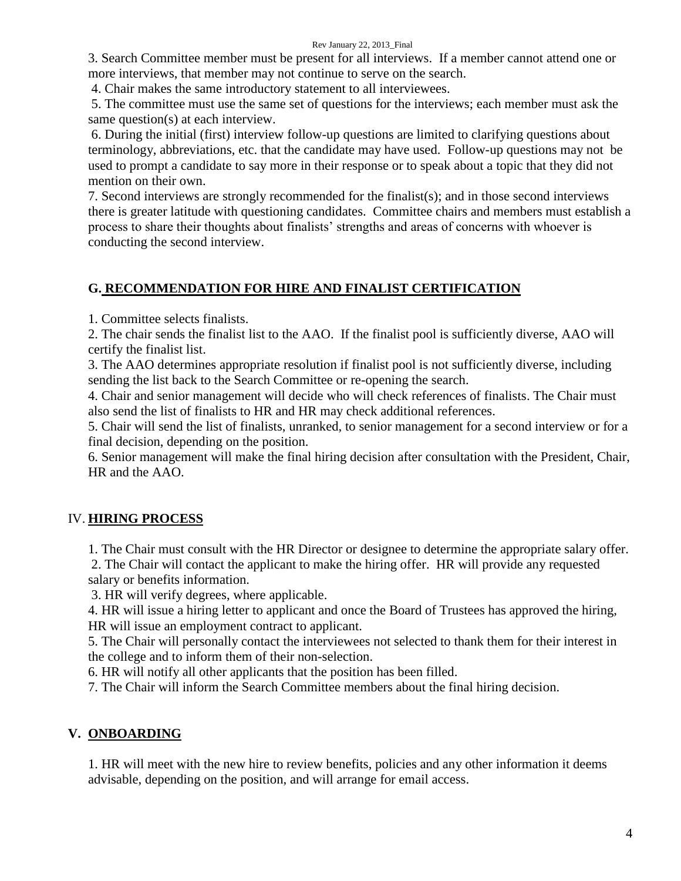#### Rev January 22, 2013\_Final

3. Search Committee member must be present for all interviews. If a member cannot attend one or more interviews, that member may not continue to serve on the search.

4. Chair makes the same introductory statement to all interviewees.

5. The committee must use the same set of questions for the interviews; each member must ask the same question(s) at each interview.

6. During the initial (first) interview follow-up questions are limited to clarifying questions about terminology, abbreviations, etc. that the candidate may have used. Follow-up questions may not be used to prompt a candidate to say more in their response or to speak about a topic that they did not mention on their own.

7. Second interviews are strongly recommended for the finalist(s); and in those second interviews there is greater latitude with questioning candidates. Committee chairs and members must establish a process to share their thoughts about finalists' strengths and areas of concerns with whoever is conducting the second interview.

## **G. RECOMMENDATION FOR HIRE AND FINALIST CERTIFICATION**

1. Committee selects finalists.

2. The chair sends the finalist list to the AAO. If the finalist pool is sufficiently diverse, AAO will certify the finalist list.

3. The AAO determines appropriate resolution if finalist pool is not sufficiently diverse, including sending the list back to the Search Committee or re-opening the search.

4. Chair and senior management will decide who will check references of finalists. The Chair must also send the list of finalists to HR and HR may check additional references.

5. Chair will send the list of finalists, unranked, to senior management for a second interview or for a final decision, depending on the position.

6. Senior management will make the final hiring decision after consultation with the President, Chair, HR and the AAO.

## IV. **HIRING PROCESS**

1. The Chair must consult with the HR Director or designee to determine the appropriate salary offer.

2. The Chair will contact the applicant to make the hiring offer. HR will provide any requested salary or benefits information.

3. HR will verify degrees, where applicable.

4. HR will issue a hiring letter to applicant and once the Board of Trustees has approved the hiring, HR will issue an employment contract to applicant.

5. The Chair will personally contact the interviewees not selected to thank them for their interest in the college and to inform them of their non-selection.

6. HR will notify all other applicants that the position has been filled.

7. The Chair will inform the Search Committee members about the final hiring decision.

# **V. ONBOARDING**

1. HR will meet with the new hire to review benefits, policies and any other information it deems advisable, depending on the position, and will arrange for email access.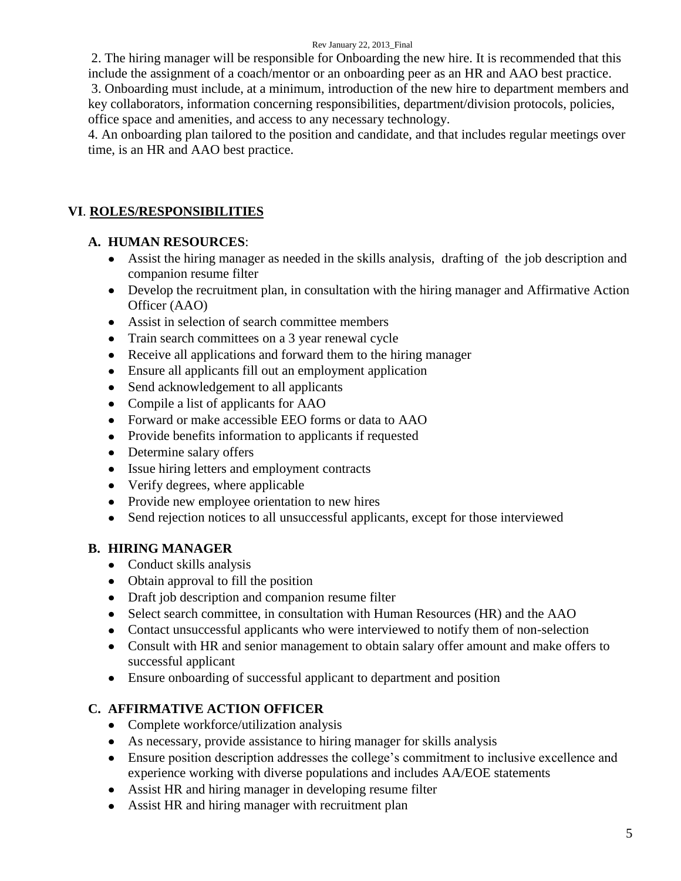#### Rev January 22, 2013\_Final

2. The hiring manager will be responsible for Onboarding the new hire. It is recommended that this include the assignment of a coach/mentor or an onboarding peer as an HR and AAO best practice. 3. Onboarding must include, at a minimum, introduction of the new hire to department members and key collaborators, information concerning responsibilities, department/division protocols, policies, office space and amenities, and access to any necessary technology.

4. An onboarding plan tailored to the position and candidate, and that includes regular meetings over time, is an HR and AAO best practice.

# **VI**. **ROLES/RESPONSIBILITIES**

#### **A. HUMAN RESOURCES**:

- Assist the hiring manager as needed in the skills analysis, drafting of the job description and companion resume filter
- Develop the recruitment plan, in consultation with the hiring manager and Affirmative Action Officer (AAO)
- Assist in selection of search committee members
- Train search committees on a 3 year renewal cycle  $\bullet$
- Receive all applications and forward them to the hiring manager
- Ensure all applicants fill out an employment application  $\bullet$
- Send acknowledgement to all applicants  $\bullet$
- Compile a list of applicants for AAO  $\bullet$
- Forward or make accessible EEO forms or data to AAO  $\bullet$
- Provide benefits information to applicants if requested  $\bullet$
- Determine salary offers
- Issue hiring letters and employment contracts
- Verify degrees, where applicable  $\bullet$
- Provide new employee orientation to new hires
- Send rejection notices to all unsuccessful applicants, except for those interviewed  $\bullet$

## **B. HIRING MANAGER**

- Conduct skills analysis
- Obtain approval to fill the position
- Draft job description and companion resume filter
- Select search committee, in consultation with Human Resources (HR) and the AAO
- Contact unsuccessful applicants who were interviewed to notify them of non-selection  $\bullet$
- Consult with HR and senior management to obtain salary offer amount and make offers to successful applicant
- Ensure onboarding of successful applicant to department and position  $\bullet$

## **C. AFFIRMATIVE ACTION OFFICER**

- Complete workforce/utilization analysis
- As necessary, provide assistance to hiring manager for skills analysis
- Ensure position description addresses the college's commitment to inclusive excellence and experience working with diverse populations and includes AA/EOE statements
- Assist HR and hiring manager in developing resume filter
- Assist HR and hiring manager with recruitment plan $\bullet$